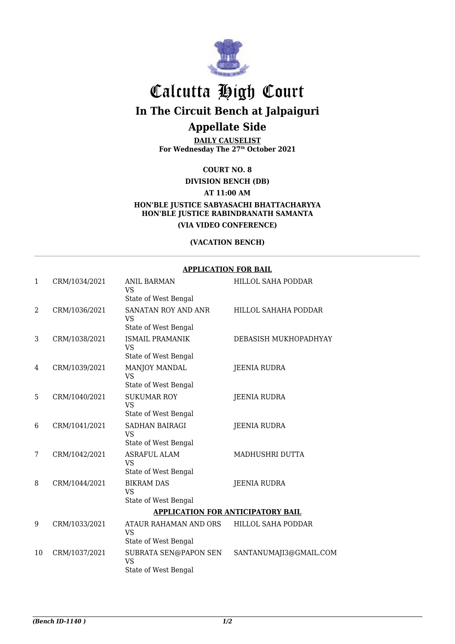

# Calcutta High Court **In The Circuit Bench at Jalpaiguri**

## **Appellate Side**

**DAILY CAUSELIST For Wednesday The 27th October 2021**

**COURT NO. 8**

**DIVISION BENCH (DB)**

**AT 11:00 AM**

**HON'BLE JUSTICE SABYASACHI BHATTACHARYYA HON'BLE JUSTICE RABINDRANATH SAMANTA (VIA VIDEO CONFERENCE)**

#### **(VACATION BENCH)**

#### **APPLICATION FOR BAIL**

| $\mathbf{1}$ | CRM/1034/2021 | <b>ANIL BARMAN</b><br><b>VS</b><br>State of West Bengal    | HILLOL SAHA PODDAR     |  |
|--------------|---------------|------------------------------------------------------------|------------------------|--|
| 2            | CRM/1036/2021 | SANATAN ROY AND ANR<br><b>VS</b><br>State of West Bengal   | HILLOL SAHAHA PODDAR   |  |
| 3            | CRM/1038/2021 | <b>ISMAIL PRAMANIK</b><br>VS<br>State of West Bengal       | DEBASISH MUKHOPADHYAY  |  |
| 4            | CRM/1039/2021 | MANJOY MANDAL<br>VS<br>State of West Bengal                | <b>JEENIA RUDRA</b>    |  |
| 5            | CRM/1040/2021 | <b>SUKUMAR ROY</b><br><b>VS</b><br>State of West Bengal    | <b>JEENIA RUDRA</b>    |  |
| 6            | CRM/1041/2021 | <b>SADHAN BAIRAGI</b><br><b>VS</b><br>State of West Bengal | <b>JEENIA RUDRA</b>    |  |
| 7            | CRM/1042/2021 | <b>ASRAFUL ALAM</b><br><b>VS</b><br>State of West Bengal   | MADHUSHRI DUTTA        |  |
| 8            | CRM/1044/2021 | <b>BIKRAM DAS</b><br><b>VS</b><br>State of West Bengal     | <b>JEENIA RUDRA</b>    |  |
|              |               | <b>APPLICATION FOR ANTICIPATORY BAIL</b>                   |                        |  |
| 9            | CRM/1033/2021 | ATAUR RAHAMAN AND ORS<br><b>VS</b><br>State of West Bengal | HILLOL SAHA PODDAR     |  |
| 10           | CRM/1037/2021 | SUBRATA SEN@PAPON SEN<br><b>VS</b><br>State of West Bengal | SANTANUMAJI3@GMAIL.COM |  |